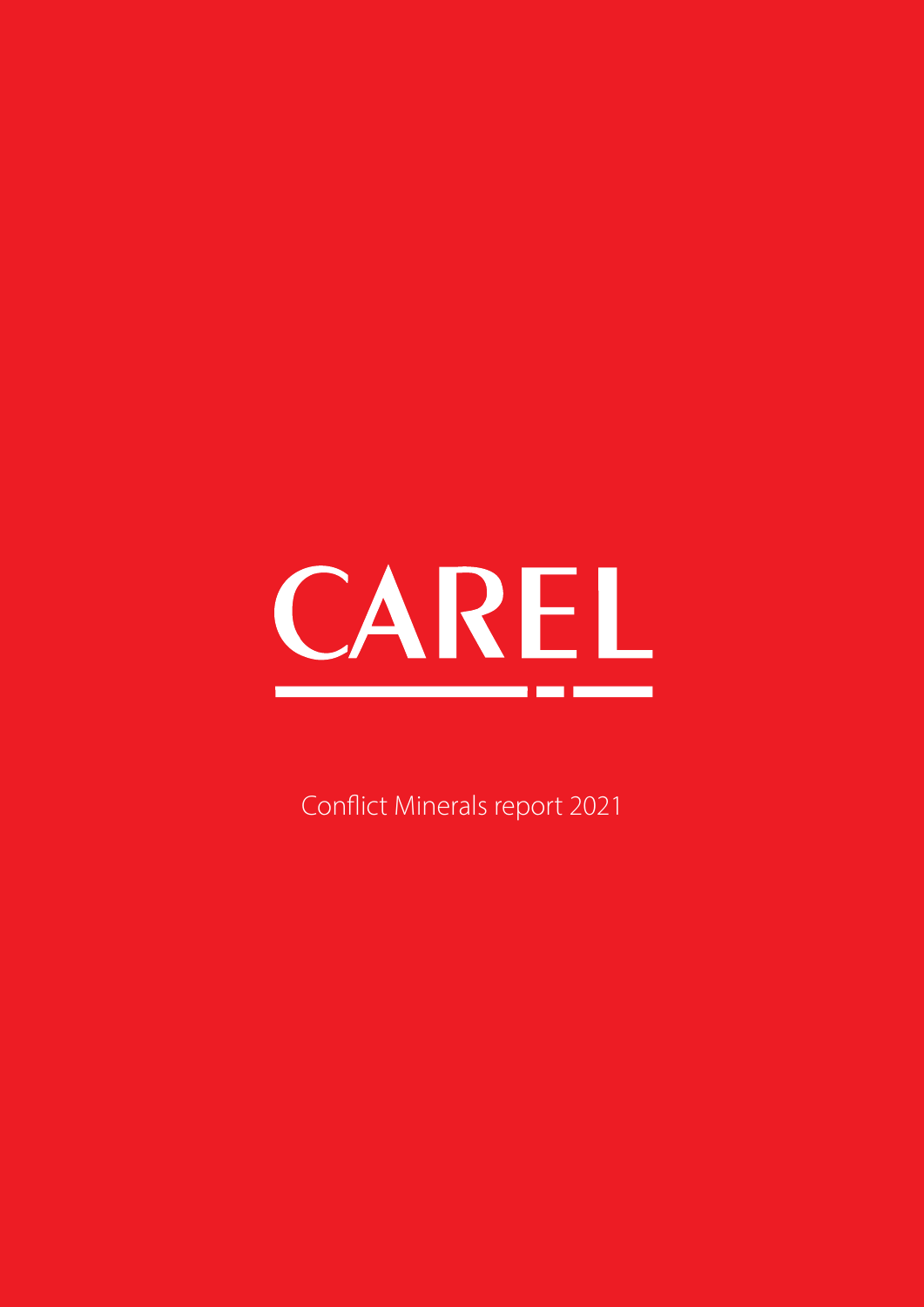

Conflict Minerals report 2021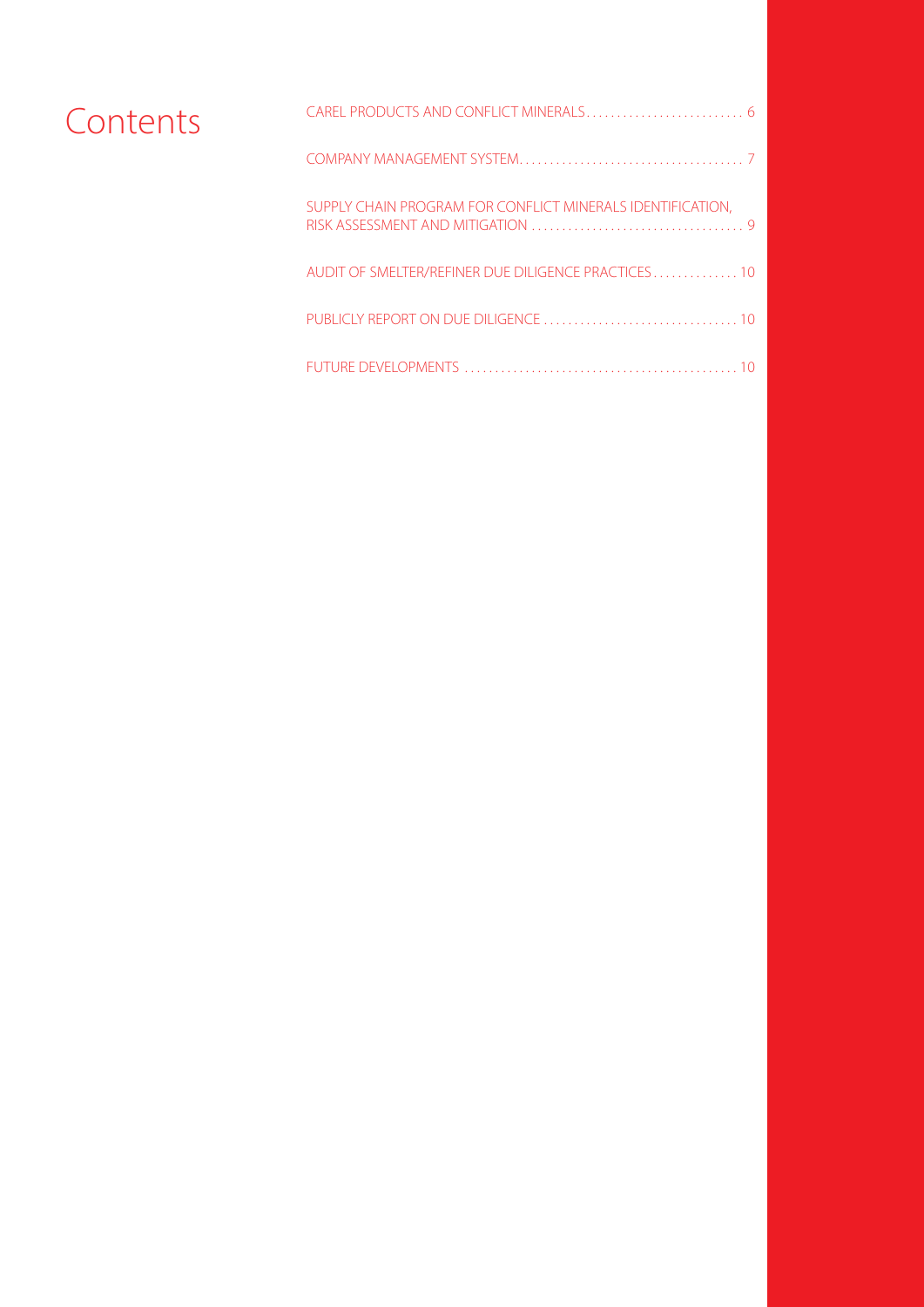| Contents |                                                            |  |
|----------|------------------------------------------------------------|--|
|          |                                                            |  |
|          | SUPPLY CHAIN PROGRAM FOR CONFLICT MINERALS IDENTIFICATION, |  |
|          | AUDIT OF SMELTER/REFINER DUE DILIGENCE PRACTICES 10        |  |
|          |                                                            |  |
|          |                                                            |  |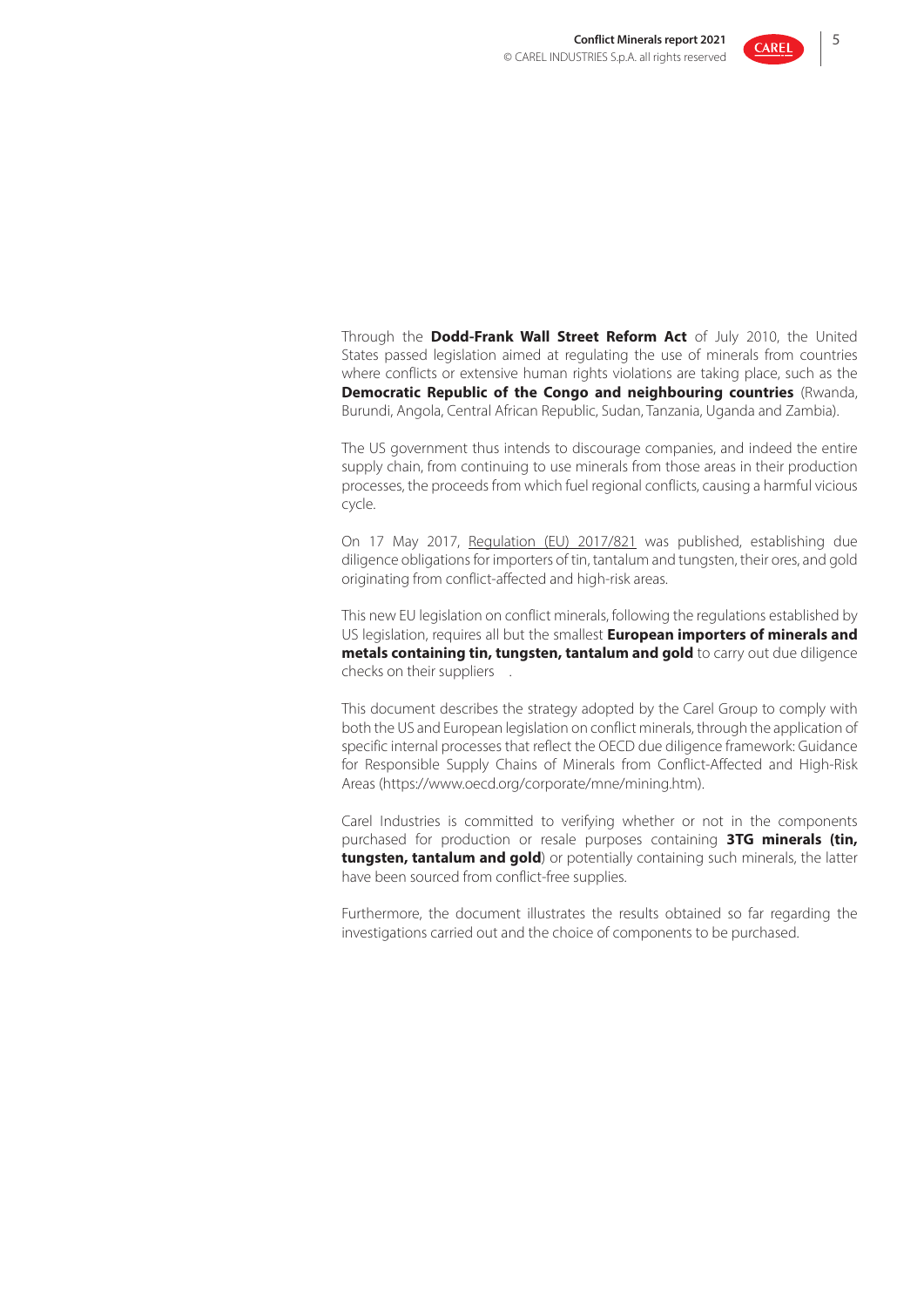

Through the **Dodd-Frank Wall Street Reform Act** of July 2010, the United States passed legislation aimed at regulating the use of minerals from countries where conflicts or extensive human rights violations are taking place, such as the **Democratic Republic of the Congo and neighbouring countries** (Rwanda, Burundi, Angola, Central African Republic, Sudan, Tanzania, Uganda and Zambia).

The US government thus intends to discourage companies, and indeed the entire supply chain, from continuing to use minerals from those areas in their production processes, the proceeds from which fuel regional conflicts, causing a harmful vicious cycle.

On 17 May 2017, Regulation (EU) 2017/821 was published, establishing due diligence obligations for importers of tin, tantalum and tungsten, their ores, and gold originating from conflict-affected and high-risk areas.

This new EU legislation on conflict minerals, following the regulations established by US legislation, requires all but the smallest **European importers of minerals and metals containing tin, tungsten, tantalum and gold** to carry out due diligence checks on their suppliers .

This document describes the strategy adopted by the Carel Group to comply with both the US and European legislation on conflict minerals, through the application of specific internal processes that reflect the OECD due diligence framework: Guidance for Responsible Supply Chains of Minerals from Conflict-Affected and High-Risk Areas (https://www.oecd.org/corporate/mne/mining.htm).

Carel Industries is committed to verifying whether or not in the components purchased for production or resale purposes containing **3TG minerals (tin, tungsten, tantalum and gold**) or potentially containing such minerals, the latter have been sourced from conflict-free supplies.

Furthermore, the document illustrates the results obtained so far regarding the investigations carried out and the choice of components to be purchased.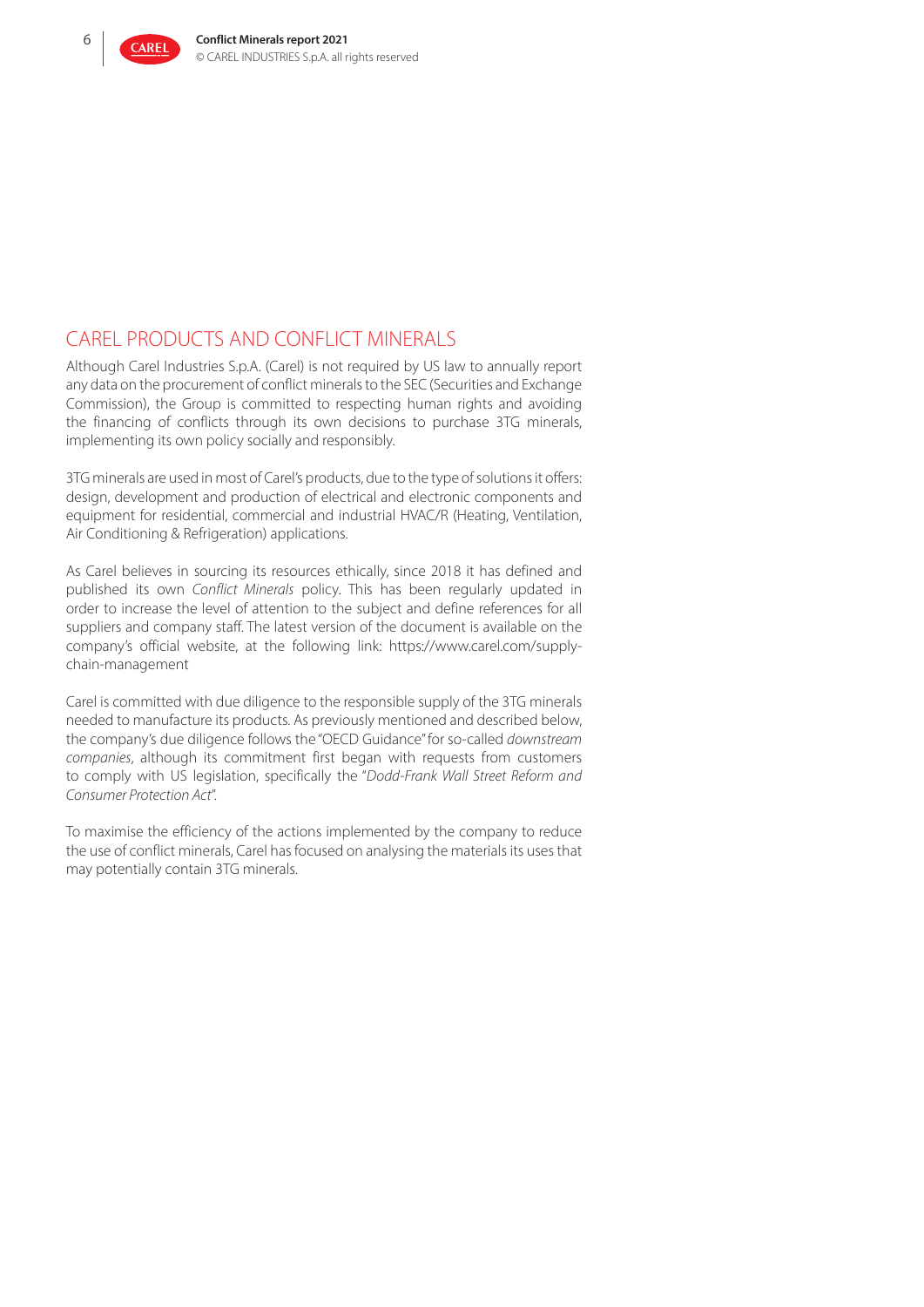

# CAREL PRODUCTS AND CONFLICT MINERALS

Although Carel Industries S.p.A. (Carel) is not required by US law to annually report any data on the procurement of conflict minerals to the SEC (Securities and Exchange Commission), the Group is committed to respecting human rights and avoiding the financing of conflicts through its own decisions to purchase 3TG minerals, implementing its own policy socially and responsibly.

3TG minerals are used in most of Carel's products, due to the type of solutions it offers: design, development and production of electrical and electronic components and equipment for residential, commercial and industrial HVAC/R (Heating, Ventilation, Air Conditioning & Refrigeration) applications.

As Carel believes in sourcing its resources ethically, since 2018 it has defined and published its own *Conflict Minerals* policy. This has been regularly updated in order to increase the level of attention to the subject and define references for all suppliers and company staff. The latest version of the document is available on the company's official website, at the following link: https://www.carel.com/supplychain-management

Carel is committed with due diligence to the responsible supply of the 3TG minerals needed to manufacture its products. As previously mentioned and described below, the company's due diligence follows the "OECD Guidance" for so-called *downstream companies*, although its commitment first began with requests from customers to comply with US legislation, specifically the "*Dodd-Frank Wall Street Reform and Consumer Protection Act*".

To maximise the efficiency of the actions implemented by the company to reduce the use of conflict minerals, Carel has focused on analysing the materials its uses that may potentially contain 3TG minerals.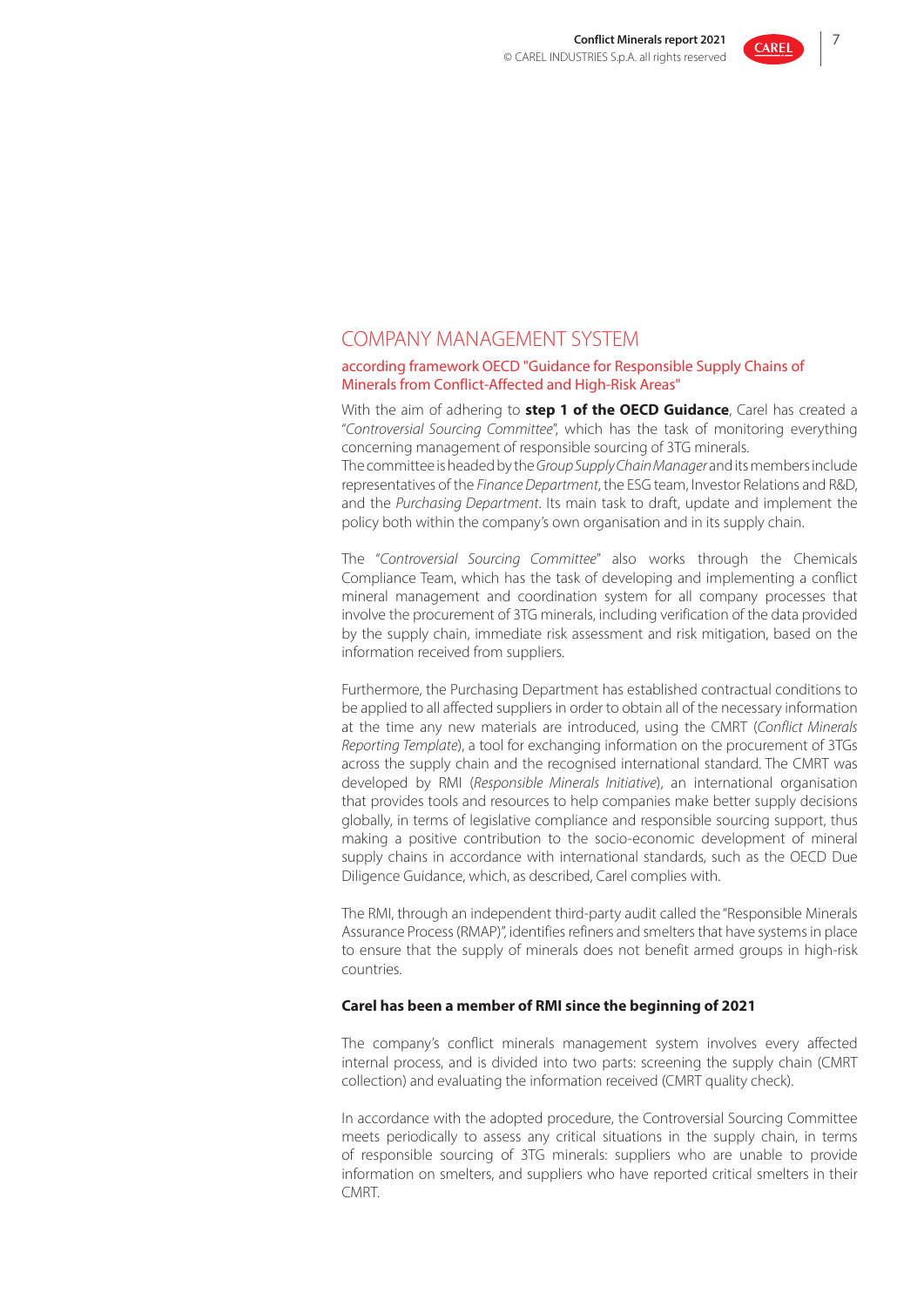

## COMPANY MANAGEMENT SYSTEM

#### according framework OECD "Guidance for Responsible Supply Chains of Minerals from Conflict-Affected and High-Risk Areas"

With the aim of adhering to **step 1 of the OECD Guidance**, Carel has created a "*Controversial Sourcing Committee*", which has the task of monitoring everything concerning management of responsible sourcing of 3TG minerals.

The committee is headed by the *Group Supply Chain Manager* and its members include representatives of the *Finance Department*, the ESG team, Investor Relations and R&D, and the *Purchasing Department*. Its main task to draft, update and implement the policy both within the company's own organisation and in its supply chain.

The "*Controversial Sourcing Committee*" also works through the Chemicals Compliance Team, which has the task of developing and implementing a conflict mineral management and coordination system for all company processes that involve the procurement of 3TG minerals, including verification of the data provided by the supply chain, immediate risk assessment and risk mitigation, based on the information received from suppliers.

Furthermore, the Purchasing Department has established contractual conditions to be applied to all affected suppliers in order to obtain all of the necessary information at the time any new materials are introduced, using the CMRT (*Conflict Minerals Reporting Template*), a tool for exchanging information on the procurement of 3TGs across the supply chain and the recognised international standard. The CMRT was developed by RMI (*Responsible Minerals Initiative*), an international organisation that provides tools and resources to help companies make better supply decisions globally, in terms of legislative compliance and responsible sourcing support, thus making a positive contribution to the socio-economic development of mineral supply chains in accordance with international standards, such as the OECD Due Diligence Guidance, which, as described, Carel complies with.

The RMI, through an independent third-party audit called the "Responsible Minerals Assurance Process (RMAP)", identifies refiners and smelters that have systems in place to ensure that the supply of minerals does not benefit armed groups in high-risk countries.

#### **Carel has been a member of RMI since the beginning of 2021**

The company's conflict minerals management system involves every affected internal process, and is divided into two parts: screening the supply chain (CMRT collection) and evaluating the information received (CMRT quality check).

In accordance with the adopted procedure, the Controversial Sourcing Committee meets periodically to assess any critical situations in the supply chain, in terms of responsible sourcing of 3TG minerals: suppliers who are unable to provide information on smelters, and suppliers who have reported critical smelters in their CMRT.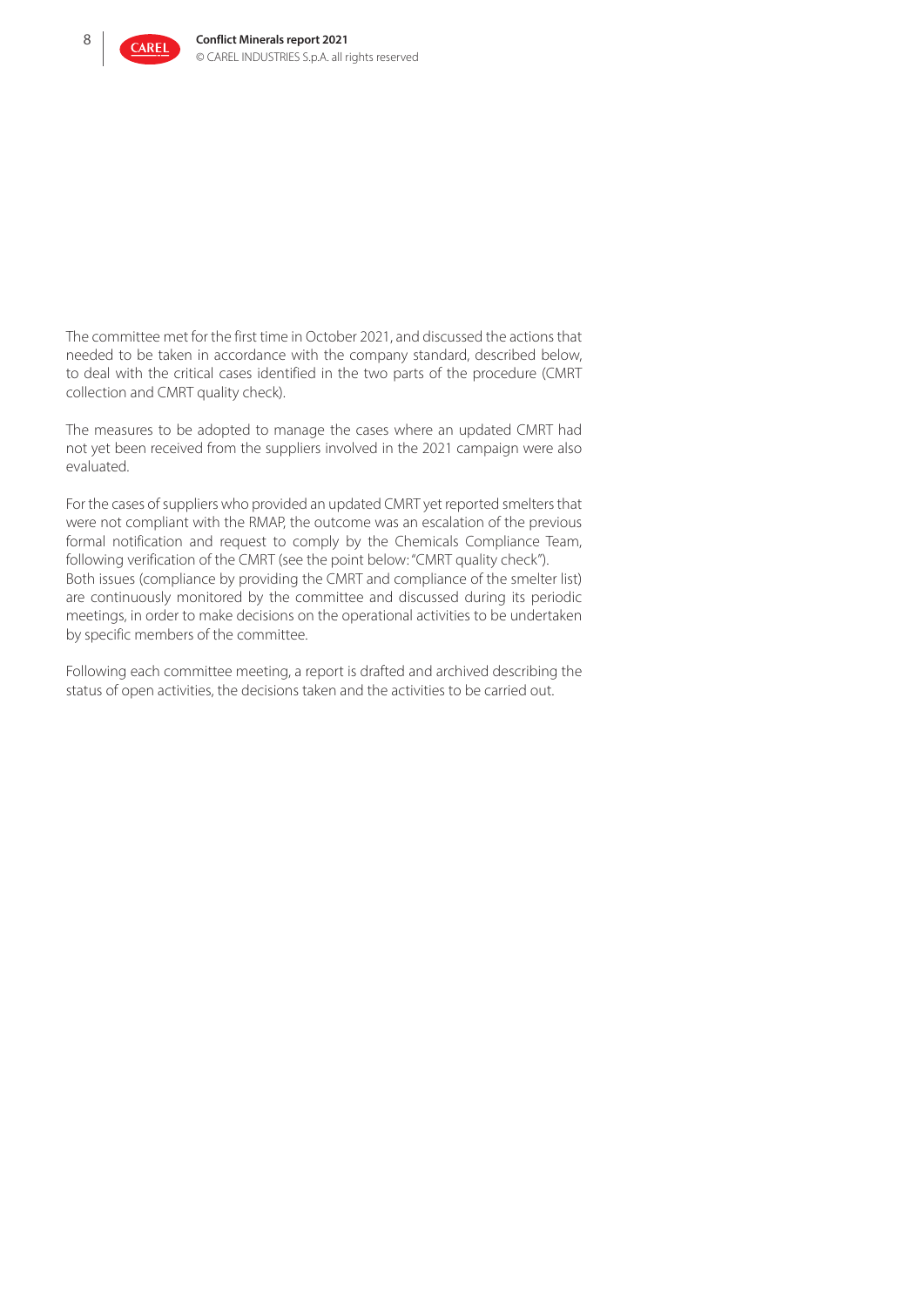

The committee met for the first time in October 2021, and discussed the actions that needed to be taken in accordance with the company standard, described below, to deal with the critical cases identified in the two parts of the procedure (CMRT collection and CMRT quality check).

The measures to be adopted to manage the cases where an updated CMRT had not yet been received from the suppliers involved in the 2021 campaign were also evaluated.

For the cases of suppliers who provided an updated CMRT yet reported smelters that were not compliant with the RMAP, the outcome was an escalation of the previous formal notification and request to comply by the Chemicals Compliance Team, following verification of the CMRT (see the point below: "CMRT quality check"). Both issues (compliance by providing the CMRT and compliance of the smelter list) are continuously monitored by the committee and discussed during its periodic meetings, in order to make decisions on the operational activities to be undertaken by specific members of the committee.

Following each committee meeting, a report is drafted and archived describing the status of open activities, the decisions taken and the activities to be carried out.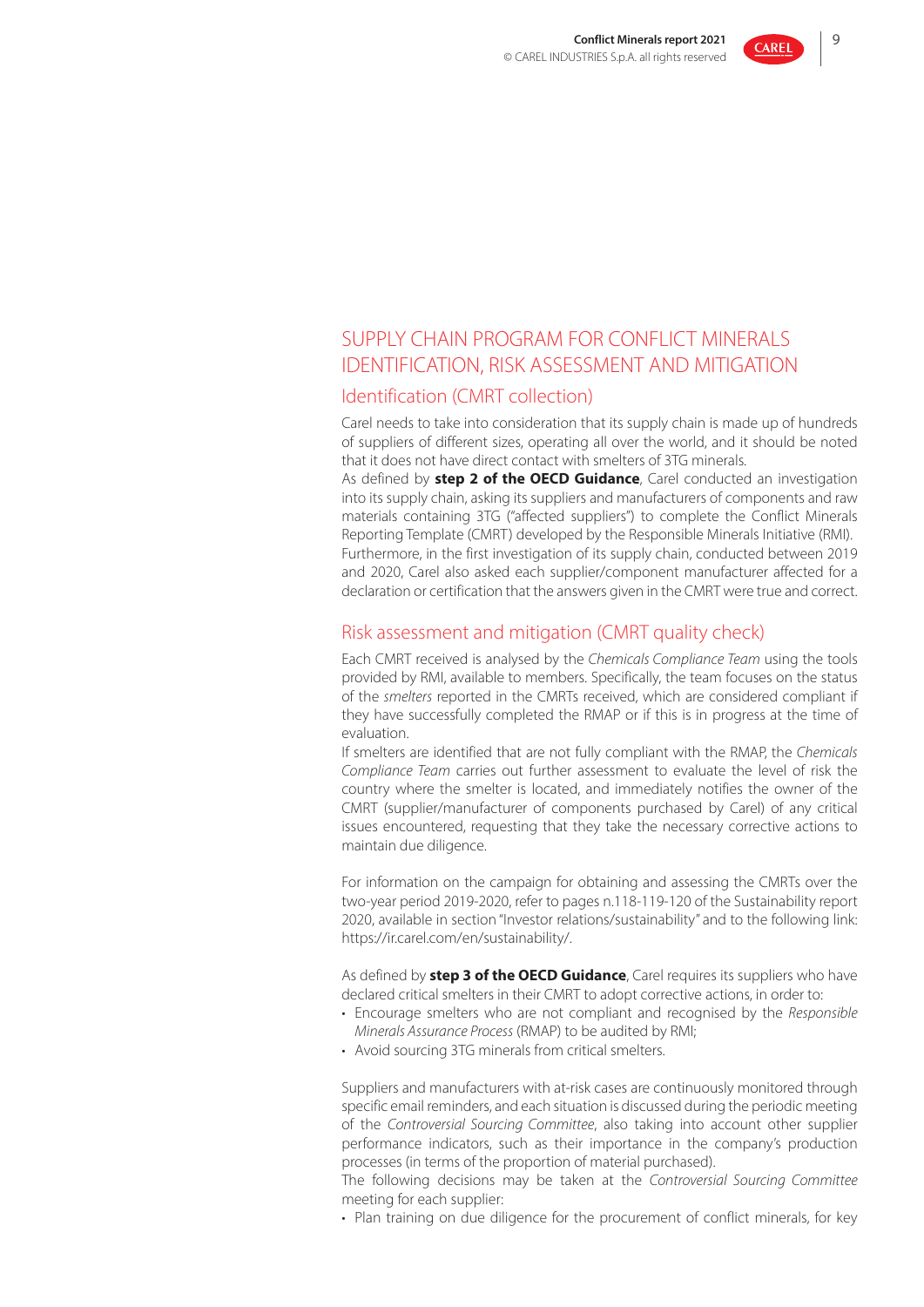

# SUPPLY CHAIN PROGRAM FOR CONFLICT MINERALS IDENTIFICATION, RISK ASSESSMENT AND MITIGATION

### Identification (CMRT collection)

Carel needs to take into consideration that its supply chain is made up of hundreds of suppliers of different sizes, operating all over the world, and it should be noted that it does not have direct contact with smelters of 3TG minerals.

As defined by **step 2 of the OECD Guidance**, Carel conducted an investigation into its supply chain, asking its suppliers and manufacturers of components and raw materials containing 3TG ("affected suppliers") to complete the Conflict Minerals Reporting Template (CMRT) developed by the Responsible Minerals Initiative (RMI). Furthermore, in the first investigation of its supply chain, conducted between 2019 and 2020, Carel also asked each supplier/component manufacturer affected for a declaration or certification that the answers given in the CMRT were true and correct.

### Risk assessment and mitigation (CMRT quality check)

Each CMRT received is analysed by the *Chemicals Compliance Team* using the tools provided by RMI, available to members. Specifically, the team focuses on the status of the *smelters* reported in the CMRTs received, which are considered compliant if they have successfully completed the RMAP or if this is in progress at the time of evaluation.

If smelters are identified that are not fully compliant with the RMAP, the *Chemicals Compliance Team* carries out further assessment to evaluate the level of risk the country where the smelter is located, and immediately notifies the owner of the CMRT (supplier/manufacturer of components purchased by Carel) of any critical issues encountered, requesting that they take the necessary corrective actions to maintain due diligence.

For information on the campaign for obtaining and assessing the CMRTs over the two-year period 2019-2020, refer to pages n.118-119-120 of the Sustainability report 2020, available in section "Investor relations/sustainability" and to the following link: https://ir.carel.com/en/sustainability/.

As defined by **step 3 of the OECD Guidance**, Carel requires its suppliers who have declared critical smelters in their CMRT to adopt corrective actions, in order to:

- Encourage smelters who are not compliant and recognised by the *Responsible Minerals Assurance Process* (RMAP) to be audited by RMI;
- Avoid sourcing 3TG minerals from critical smelters.

Suppliers and manufacturers with at-risk cases are continuously monitored through specific email reminders, and each situation is discussed during the periodic meeting of the *Controversial Sourcing Committee*, also taking into account other supplier performance indicators, such as their importance in the company's production processes (in terms of the proportion of material purchased).

The following decisions may be taken at the *Controversial Sourcing Committee* meeting for each supplier:

• Plan training on due diligence for the procurement of conflict minerals, for key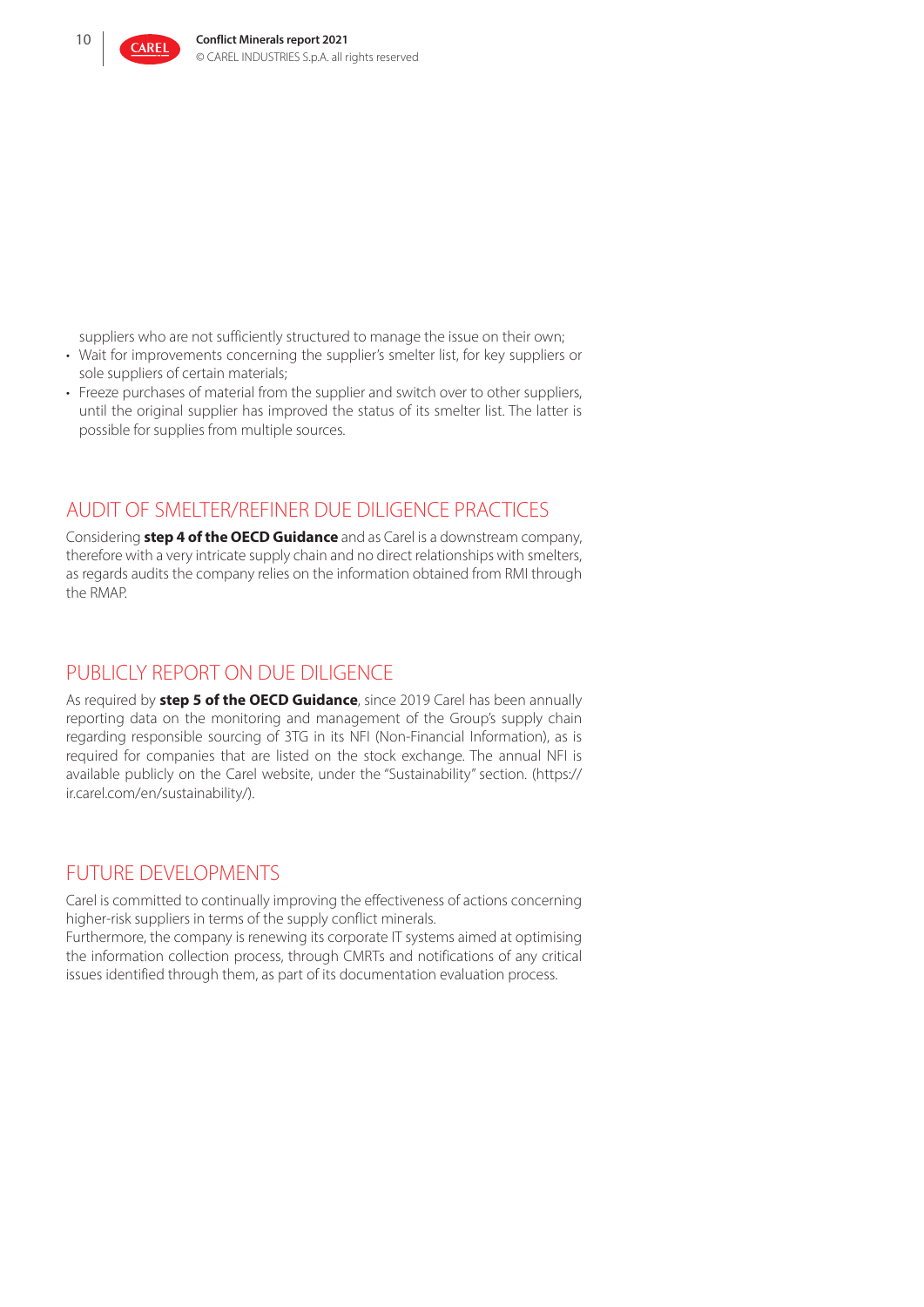

suppliers who are not sufficiently structured to manage the issue on their own;

- Wait for improvements concerning the supplier's smelter list, for key suppliers or sole suppliers of certain materials;
- Freeze purchases of material from the supplier and switch over to other suppliers, until the original supplier has improved the status of its smelter list. The latter is possible for supplies from multiple sources.

## AUDIT OF SMELTER/REFINER DUE DILIGENCE PRACTICES

Considering **step 4 of the OECD Guidance** and as Carel is a downstream company, therefore with a very intricate supply chain and no direct relationships with smelters, as regards audits the company relies on the information obtained from RMI through the RMAP.

# PUBLICLY REPORT ON DUE DILIGENCE

As required by **step 5 of the OECD Guidance**, since 2019 Carel has been annually reporting data on the monitoring and management of the Group's supply chain regarding responsible sourcing of 3TG in its NFI (Non-Financial Information), as is required for companies that are listed on the stock exchange. The annual NFI is available publicly on the Carel website, under the "Sustainability" section. (https:// ir.carel.com/en/sustainability/).

## FUTURE DEVELOPMENTS

Carel is committed to continually improving the effectiveness of actions concerning higher-risk suppliers in terms of the supply conflict minerals.

Furthermore, the company is renewing its corporate IT systems aimed at optimising the information collection process, through CMRTs and notifications of any critical issues identified through them, as part of its documentation evaluation process.